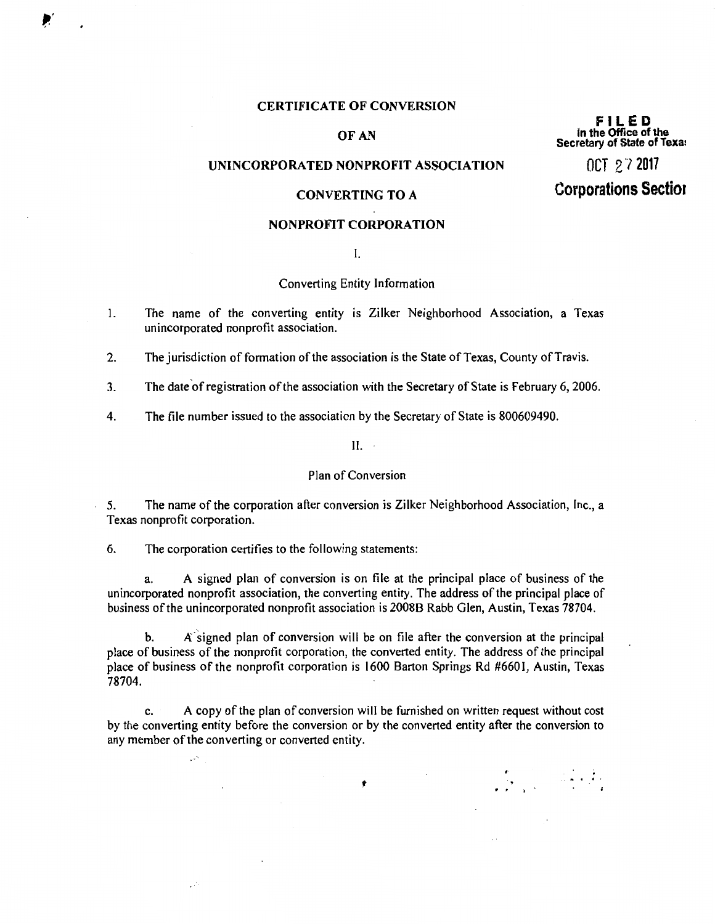### **CERTIFICATE OF CONVERSION**

# OF AN

# UNINCORPORATED NONPROFIT ASSOCIATION

### **CONVERTING TO A**

### **NONPROFIT CORPORATION**

 $\mathbf{I}$ .

### Converting Entity Information

- The name of the converting entity is Zilker Neighborhood Association, a Texas  $\mathbf{1}$ . unincorporated nonprofit association.
- $2.$ The jurisdiction of formation of the association is the State of Texas, County of Travis.
- $\overline{3}$ . The date of registration of the association with the Secretary of State is February 6, 2006.
- 4. The file number issued to the association by the Secretary of State is 800609490.

 $II.$ 

### Plan of Conversion

The name of the corporation after conversion is Zilker Neighborhood Association, Inc., a  $5<sub>1</sub>$ Texas nonprofit corporation.

6. The corporation certifies to the following statements:

 $\mathcal{L}_{\text{tot}}$ 

A signed plan of conversion is on file at the principal place of business of the a. unincorporated nonprofit association, the converting entity. The address of the principal place of business of the unincorporated nonprofit association is 2008B Rabb Glen, Austin, Texas 78704.

A signed plan of conversion will be on file after the conversion at the principal b. place of business of the nonprofit corporation, the converted entity. The address of the principal place of business of the nonprofit corporation is 1600 Barton Springs Rd #6601, Austin, Texas 78704.

A copy of the plan of conversion will be furnished on written request without cost c. by the converting entity before the conversion or by the converted entity after the conversion to any member of the converting or converted entity.

۶

FILED in the Office of the Secretary of State of Texa:

 $0C1$   $2$   $7$  2017

# **Corporations Section**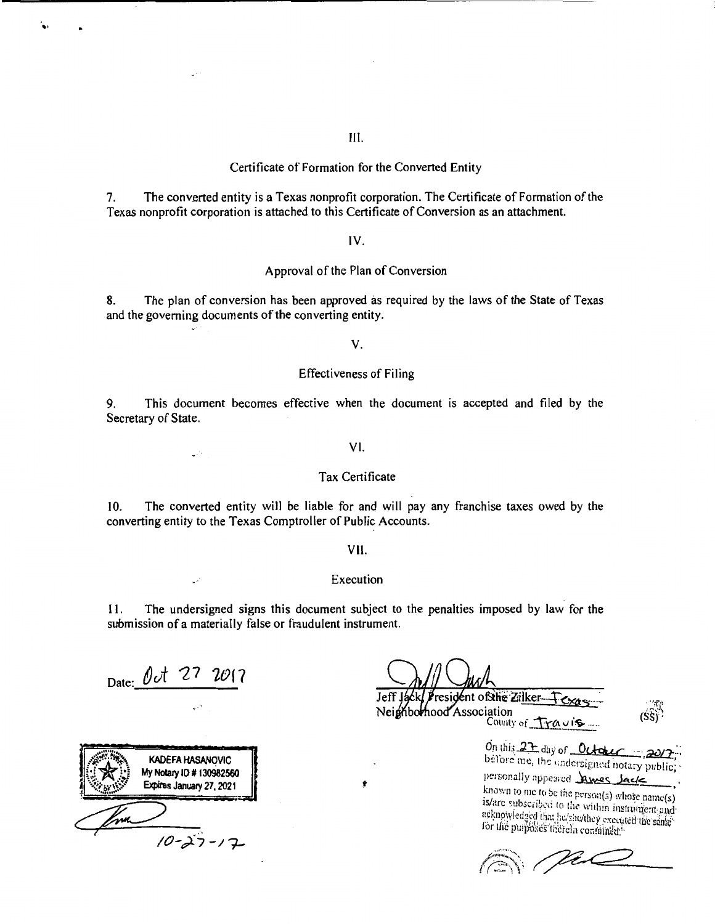### Certificate of Formation for the Converted Entity

The converted entity is a Texas nonprofit corporation. The Certificate of Formation of the 7. Texas nonprofit corporation is attached to this Certificate of Conversion as an attachment.

### $IV.$

### Approval of the Plan of Conversion

The plan of conversion has been approved as required by the laws of the State of Texas 8. and the governing documents of the converting entity.

V.

### **Effectiveness of Filing**

9. This document becomes effective when the document is accepted and filed by the Secretary of State.

 $VI.$ 

## **Tax Certificate**

The converted entity will be liable for and will pay any franchise taxes owed by the  $10<sub>1</sub>$ converting entity to the Texas Comptroller of Public Accounts.

VII.

#### Execution

The undersigned signs this document subject to the penalties imposed by law for the 11. submission of a materially false or fraudulent instrument.

Ý

Date:  $0t$  27 2017

CO.

**KADEFA HASANOVIC** My Notary ID # 130982560 Expires January 27, 2021 Im.  $10 - 27 - 17$ 

resident of the Zilker-Neighborhood Association County of Travis

On this 27 day of October before me, the undersigned notary public; personally appeared James Jack

known to me to be the person(s) whose name(s) is/are subscribed to the within instrument and acknowledged that he/she/they executed the same for the purposes therein contained."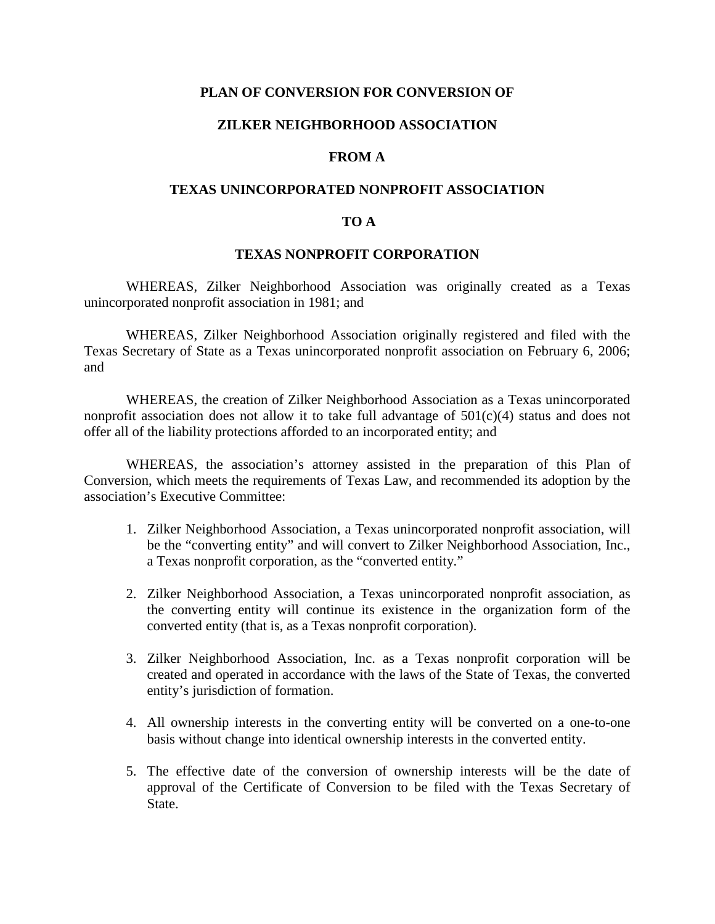# **PLAN OF CONVERSION FOR CONVERSION OF**

# **ZILKER NEIGHBORHOOD ASSOCIATION**

# **FROM A**

# **TEXAS UNINCORPORATED NONPROFIT ASSOCIATION**

## **TO A**

### **TEXAS NONPROFIT CORPORATION**

WHEREAS, Zilker Neighborhood Association was originally created as a Texas unincorporated nonprofit association in 1981; and

WHEREAS, Zilker Neighborhood Association originally registered and filed with the Texas Secretary of State as a Texas unincorporated nonprofit association on February 6, 2006; and

WHEREAS, the creation of Zilker Neighborhood Association as a Texas unincorporated nonprofit association does not allow it to take full advantage of 501(c)(4) status and does not offer all of the liability protections afforded to an incorporated entity; and

WHEREAS, the association's attorney assisted in the preparation of this Plan of Conversion, which meets the requirements of Texas Law, and recommended its adoption by the association's Executive Committee:

- 1. Zilker Neighborhood Association, a Texas unincorporated nonprofit association, will be the "converting entity" and will convert to Zilker Neighborhood Association, Inc., a Texas nonprofit corporation, as the "converted entity."
- 2. Zilker Neighborhood Association, a Texas unincorporated nonprofit association, as the converting entity will continue its existence in the organization form of the converted entity (that is, as a Texas nonprofit corporation).
- 3. Zilker Neighborhood Association, Inc. as a Texas nonprofit corporation will be created and operated in accordance with the laws of the State of Texas, the converted entity's jurisdiction of formation.
- 4. All ownership interests in the converting entity will be converted on a one-to-one basis without change into identical ownership interests in the converted entity.
- 5. The effective date of the conversion of ownership interests will be the date of approval of the Certificate of Conversion to be filed with the Texas Secretary of State.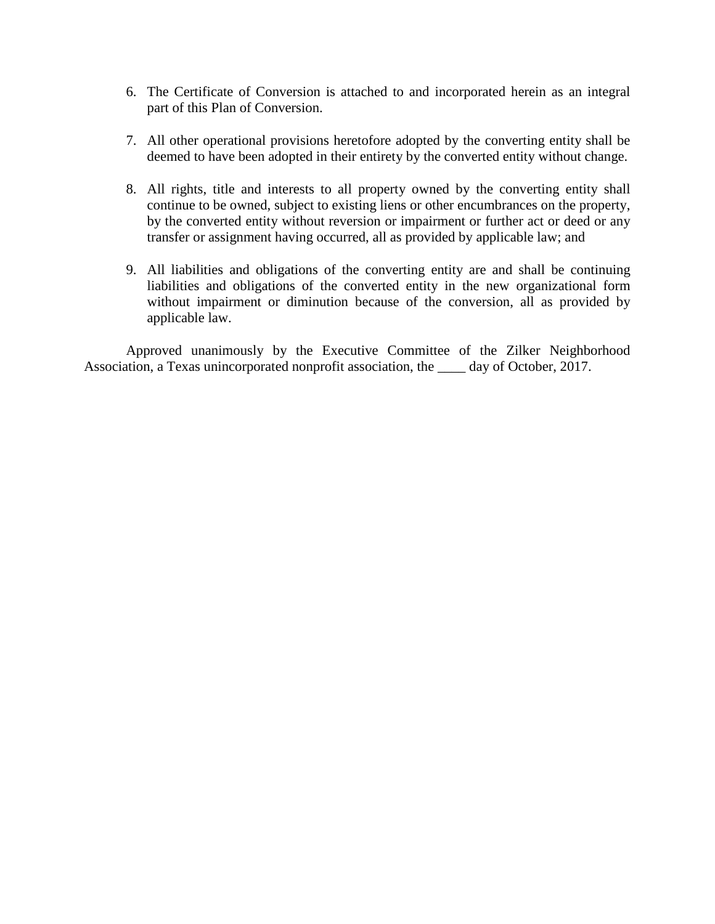- 6. The Certificate of Conversion is attached to and incorporated herein as an integral part of this Plan of Conversion.
- 7. All other operational provisions heretofore adopted by the converting entity shall be deemed to have been adopted in their entirety by the converted entity without change.
- 8. All rights, title and interests to all property owned by the converting entity shall continue to be owned, subject to existing liens or other encumbrances on the property, by the converted entity without reversion or impairment or further act or deed or any transfer or assignment having occurred, all as provided by applicable law; and
- 9. All liabilities and obligations of the converting entity are and shall be continuing liabilities and obligations of the converted entity in the new organizational form without impairment or diminution because of the conversion, all as provided by applicable law.

Approved unanimously by the Executive Committee of the Zilker Neighborhood Association, a Texas unincorporated nonprofit association, the \_\_\_\_ day of October, 2017.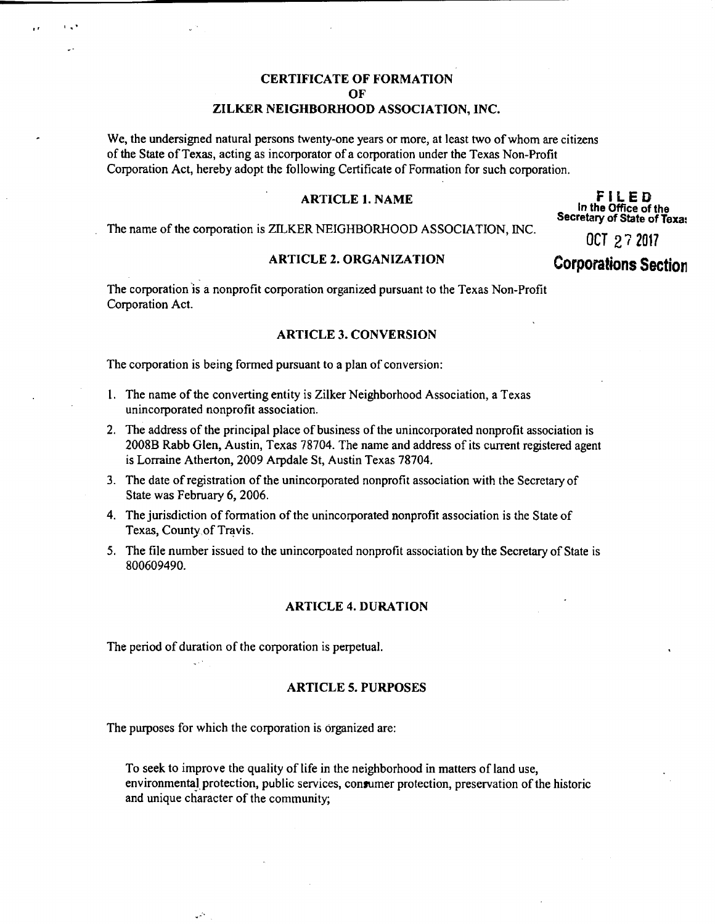# **CERTIFICATE OF FORMATION**  $\Omega$ F ZILKER NEIGHBORHOOD ASSOCIATION, INC.

We, the undersigned natural persons twenty-one years or more, at least two of whom are citizens of the State of Texas, acting as incorporator of a corporation under the Texas Non-Profit Corporation Act, hereby adopt the following Certificate of Formation for such corporation.

### **ARTICLE 1. NAME**

The name of the corporation is ZILKER NEIGHBORHOOD ASSOCIATION, INC.

#### **ARTICLE 2. ORGANIZATION**

FILED In the Office of the Secretary of State of Texa:

OCT 27 2017

# **Corporations Section**

The corporation is a nonprofit corporation organized pursuant to the Texas Non-Profit Corporation Act.

### **ARTICLE 3. CONVERSION**

The corporation is being formed pursuant to a plan of conversion:

- 1. The name of the converting entity is Zilker Neighborhood Association, a Texas unincorporated nonprofit association.
- 2. The address of the principal place of business of the unincorporated nonprofit association is 2008B Rabb Glen, Austin, Texas 78704. The name and address of its current registered agent is Lorraine Atherton, 2009 Arpdale St, Austin Texas 78704.
- 3. The date of registration of the unincorporated nonprofit association with the Secretary of State was February 6, 2006.
- 4. The jurisdiction of formation of the unincorporated nonprofit association is the State of Texas, County of Travis.
- 5. The file number issued to the unincorpoated nonprofit association by the Secretary of State is 800609490.

### **ARTICLE 4. DURATION**

The period of duration of the corporation is perpetual.

#### **ARTICLE 5. PURPOSES**

The purposes for which the corporation is organized are:

يبي

To seek to improve the quality of life in the neighborhood in matters of land use, environmental protection, public services, consumer protection, preservation of the historic and unique character of the community;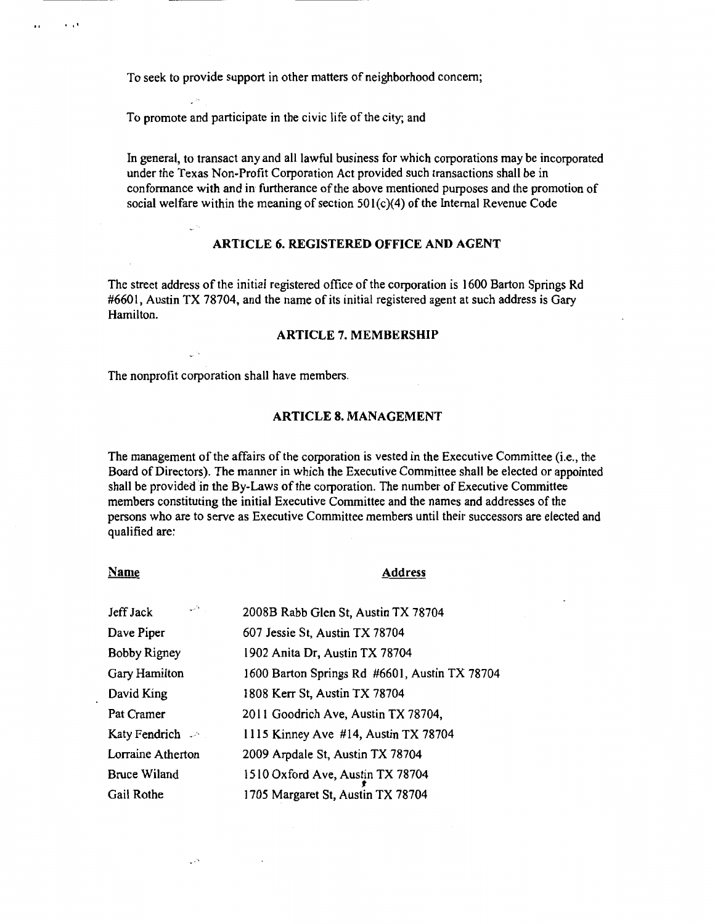To seek to provide support in other matters of neighborhood concern;

To promote and participate in the civic life of the city; and

In general, to transact any and all lawful business for which corporations may be incorporated under the Texas Non-Profit Corporation Act provided such transactions shall be in conformance with and in furtherance of the above mentioned purposes and the promotion of social welfare within the meaning of section  $501(c)(4)$  of the Internal Revenue Code

### **ARTICLE 6. REGISTERED OFFICE AND AGENT**

The street address of the initial registered office of the corporation is 1600 Barton Springs Rd #6601, Austin TX 78704, and the name of its initial registered agent at such address is Gary Hamilton.

### **ARTICLE 7. MEMBERSHIP**

The nonprofit corporation shall have members.

### **ARTICLE 8. MANAGEMENT**

The management of the affairs of the corporation is vested in the Executive Committee (i.e., the Board of Directors). The manner in which the Executive Committee shall be elected or appointed shall be provided in the By-Laws of the corporation. The number of Executive Committee members constituting the initial Executive Committee and the names and addresses of the persons who are to serve as Executive Committee members until their successors are elected and qualified are:

#### **Name**

فأتران

### **Address**

| المحربي<br>Jeff Jack | 2008B Rabb Glen St, Austin TX 78704           |
|----------------------|-----------------------------------------------|
| Dave Piper           | 607 Jessie St, Austin TX 78704                |
| Bobby Rigney         | 1902 Anita Dr, Austin TX 78704                |
| Gary Hamilton        | 1600 Barton Springs Rd #6601, Austin TX 78704 |
| David King           | 1808 Kerr St, Austin TX 78704                 |
| Pat Cramer           | 2011 Goodrich Ave, Austin TX 78704,           |
| Katy Fendrich $\sim$ | 1115 Kinney Ave #14, Austin TX 78704          |
| Lorraine Atherton    | 2009 Arpdale St, Austin TX 78704              |
| <b>Bruce Wiland</b>  | 1510 Oxford Ave, Austin TX 78704              |
| Gail Rothe           | 1705 Margaret St, Austin TX 78704             |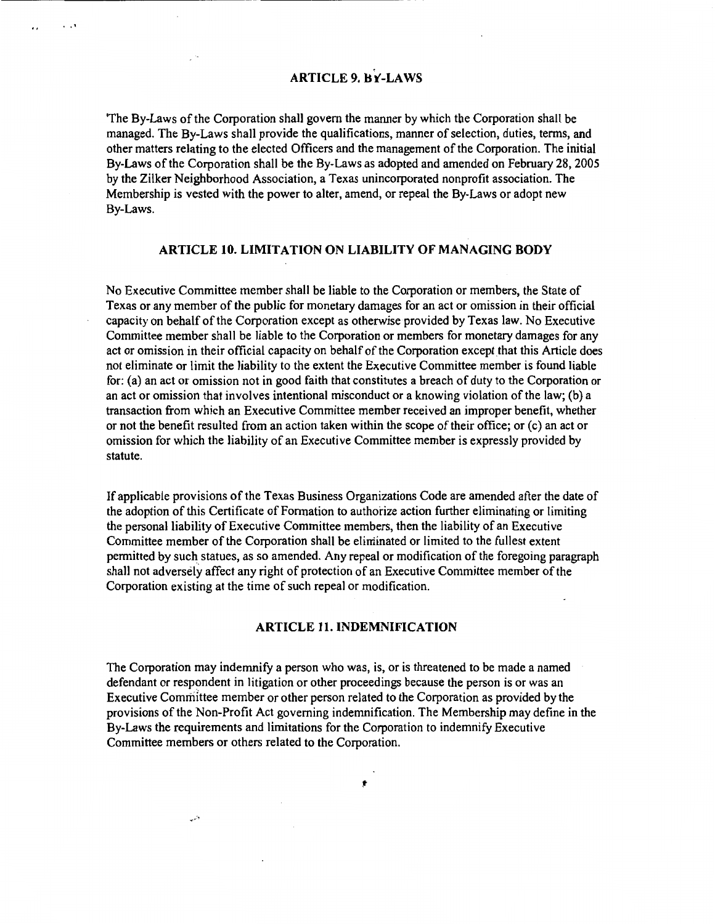# **ARTICLE 9. BY-LAWS**

 $\cdot$   $\cdot$ 

The By-Laws of the Corporation shall govern the manner by which the Corporation shall be managed. The By-Laws shall provide the qualifications, manner of selection, duties, terms, and other matters relating to the elected Officers and the management of the Corporation. The initial By-Laws of the Corporation shall be the By-Laws as adopted and amended on February 28, 2005 by the Zilker Neighborhood Association, a Texas unincorporated nonprofit association. The Membership is vested with the power to alter, amend, or repeal the By-Laws or adopt new By-Laws.

# ARTICLE 10. LIMITATION ON LIABILITY OF MANAGING BODY

No Executive Committee member shall be liable to the Corporation or members, the State of Texas or any member of the public for monetary damages for an act or omission in their official capacity on behalf of the Corporation except as otherwise provided by Texas law. No Executive Committee member shall be liable to the Corporation or members for monetary damages for any act or omission in their official capacity on behalf of the Corporation except that this Article does not eliminate or limit the liability to the extent the Executive Committee member is found liable for: (a) an act or omission not in good faith that constitutes a breach of duty to the Corporation or an act or omission that involves intentional misconduct or a knowing violation of the law; (b) a transaction from which an Executive Committee member received an improper benefit, whether or not the benefit resulted from an action taken within the scope of their office; or (c) an act or omission for which the liability of an Executive Committee member is expressly provided by statute.

If applicable provisions of the Texas Business Organizations Code are amended after the date of the adoption of this Certificate of Formation to authorize action further eliminating or limiting the personal liability of Executive Committee members, then the liability of an Executive Committee member of the Corporation shall be eliminated or limited to the fullest extent permitted by such statues, as so amended. Any repeal or modification of the foregoing paragraph shall not adversely affect any right of protection of an Executive Committee member of the Corporation existing at the time of such repeal or modification.

### **ARTICLE 11. INDEMNIFICATION**

The Corporation may indemnify a person who was, is, or is threatened to be made a named defendant or respondent in litigation or other proceedings because the person is or was an Executive Committee member or other person related to the Corporation as provided by the provisions of the Non-Profit Act governing indemnification. The Membership may define in the By-Laws the requirements and limitations for the Corporation to indemnify Executive Committee members or others related to the Corporation.

ŧ

دنيره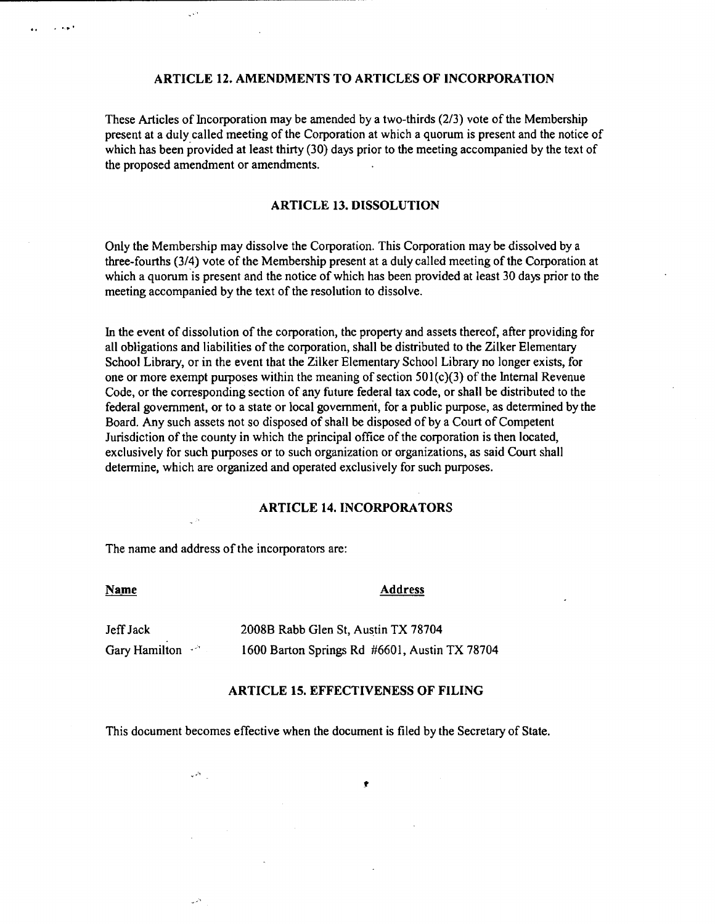### ARTICLE 12. AMENDMENTS TO ARTICLES OF INCORPORATION

These Articles of Incorporation may be amended by a two-thirds (2/3) vote of the Membership present at a duly called meeting of the Corporation at which a quorum is present and the notice of which has been provided at least thirty (30) days prior to the meeting accompanied by the text of the proposed amendment or amendments.

# **ARTICLE 13. DISSOLUTION**

Only the Membership may dissolve the Corporation. This Corporation may be dissolved by a three-fourths (3/4) vote of the Membership present at a duly called meeting of the Corporation at which a quorum is present and the notice of which has been provided at least 30 days prior to the meeting accompanied by the text of the resolution to dissolve.

In the event of dissolution of the corporation, the property and assets thereof, after providing for all obligations and liabilities of the corporation, shall be distributed to the Zilker Elementary School Library, or in the event that the Zilker Elementary School Library no longer exists, for one or more exempt purposes within the meaning of section 501(c)(3) of the Internal Revenue Code, or the corresponding section of any future federal tax code, or shall be distributed to the federal government, or to a state or local government, for a public purpose, as determined by the Board. Any such assets not so disposed of shall be disposed of by a Court of Competent Jurisdiction of the county in which the principal office of the corporation is then located, exclusively for such purposes or to such organization or organizations, as said Court shall determine, which are organized and operated exclusively for such purposes.

### **ARTICLE 14. INCORPORATORS**

The name and address of the incorporators are:

ال المجاني<br>ال

وران

فأعال

| Name                 | <b>Address</b>                                |  |
|----------------------|-----------------------------------------------|--|
| Jeff Jack            | 2008B Rabb Glen St, Austin TX 78704           |  |
| Gary Hamilton $\sim$ | 1600 Barton Springs Rd #6601, Austin TX 78704 |  |

### **ARTICLE 15. EFFECTIVENESS OF FILING**

 $\bullet$ 

This document becomes effective when the document is filed by the Secretary of State.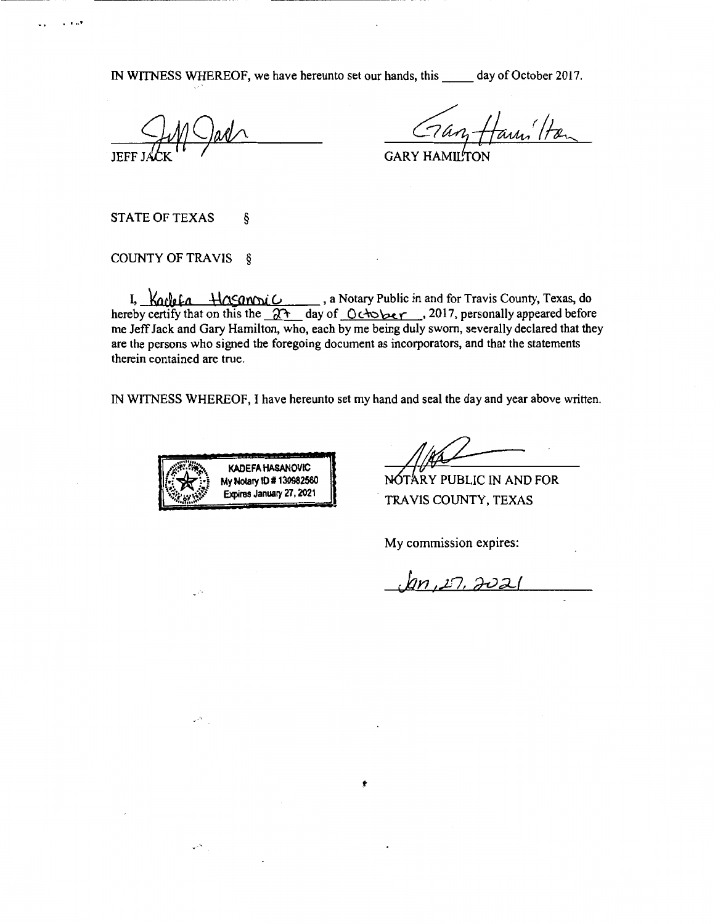IN WITNESS WHEREOF, we have hereunto set our hands, this day of October 2017.

**GARY HAMI** 

**STATE OF TEXAS** ş

 $1.111$ 

COUNTY OF TRAVIS §

I,  $\frac{V_{\alpha}V_{\beta}f_{\alpha} + V_{\alpha\beta}V_{\beta}C_{\beta}}{V_{\alpha}}$ , a Notary Public in and for Travis County, Texas, do hereby certify that on this the  $2\pi$  day of  $C_{\alpha\beta}V_{\beta}$ , 2017, personally appeared before me Jeff Jack and Gary Hamilton, who, each by me being duly sworn, severally declared that they are the persons who signed the foregoing document as incorporators, and that the statements therein contained are true.

IN WITNESS WHEREOF, I have hereunto set my hand and seal the day and year above written.



فالديد

NOTARY PUBLIC IN AND FOR TRAVIS COUNTY, TEXAS

My commission expires:

 $1n, 27, 3021$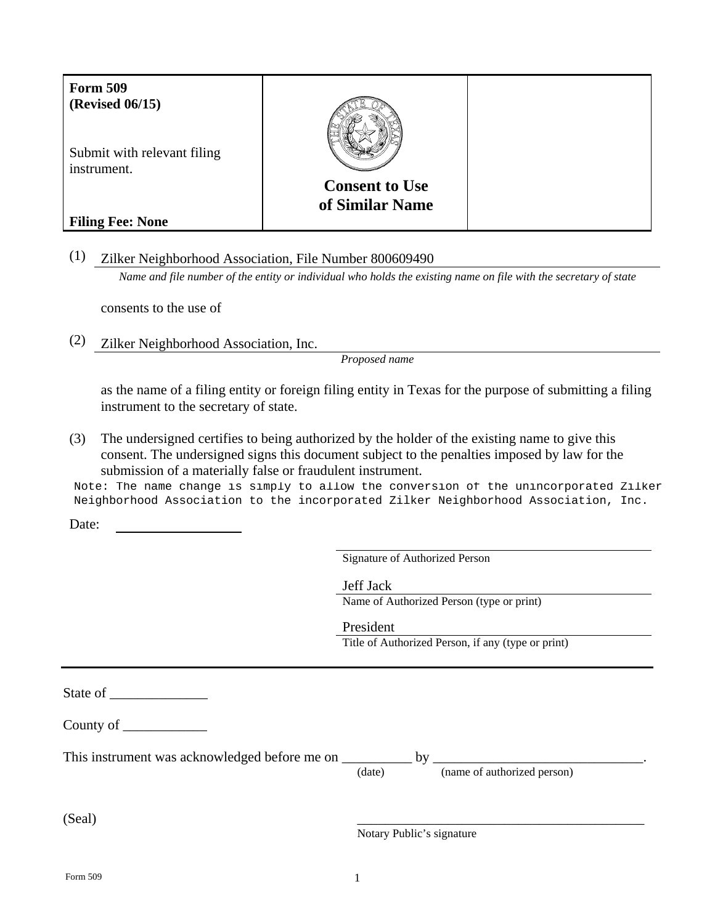| <b>Form 509</b><br><b>(Revised 06/15)</b>  |                                          |  |
|--------------------------------------------|------------------------------------------|--|
| Submit with relevant filing<br>instrument. |                                          |  |
|                                            | <b>Consent to Use</b><br>of Similar Name |  |
| <b>Filing Fee: None</b>                    |                                          |  |

(1) Zilker Neighborhood Association, File Number 800609490

*Name and file number of the entity or individual who holds the existing name on file with the secretary of state*

consents to the use of

(2) Zilker Neighborhood Association, Inc.

*Proposed name* 

 as the name of a filing entity or foreign filing entity in Texas for the purpose of submitting a filing instrument to the secretary of state.

(3) The undersigned certifies to being authorized by the holder of the existing name to give this consent. The undersigned signs this document subject to the penalties imposed by law for the submission of a materially false or fraudulent instrument.

Note: The name change is simply to allow the conversion of the unincorporated Zilker Neighborhood Association to the incorporated Zilker Neighborhood Association, Inc.

Date:

Signature of Authorized Person

Jeff Jack

Name of Authorized Person (type or print)

President Title of Authorized Person, if any (type or print)

State of \_\_\_\_\_\_\_\_\_\_\_\_\_\_

County of \_\_\_\_\_\_\_\_\_\_\_\_

| This instrument was acknowledged before me on | hv     |  |                             |  |
|-----------------------------------------------|--------|--|-----------------------------|--|
|                                               | (date) |  | (name of authorized person) |  |

 $(Seal)$ 

Notary Public's signature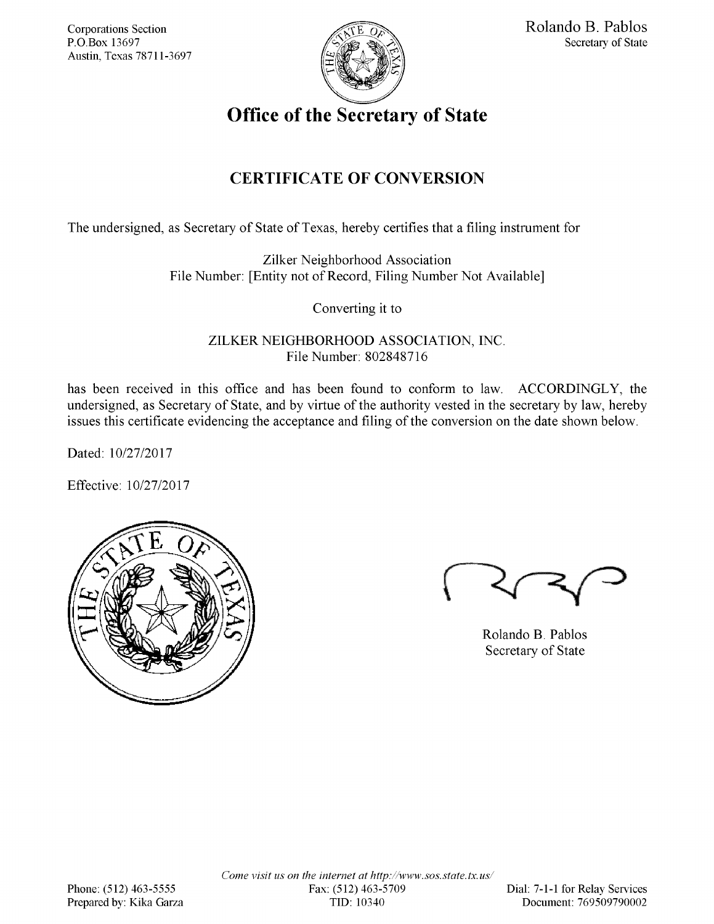**Corporations Section** P.O.Box 13697 Austin. Texas 78711-3697



**Office of the Secretary of State** 

# **CERTIFICATE OF CONVERSION**

The undersigned, as Secretary of State of Texas, hereby certifies that a filing instrument for

Zilker Neighborhood Association File Number: [Entity not of Record, Filing Number Not Available]

Converting it to

ZILKER NEIGHBORHOOD ASSOCIATION, INC. File Number: 802848716

has been received in this office and has been found to conform to law. ACCORDINGLY, the undersigned, as Secretary of State, and by virtue of the authority vested in the secretary by law, hereby issues this certificate evidencing the acceptance and filing of the conversion on the date shown below.

Dated: 10/27/2017

Effective: 10/27/2017

| F, |  |
|----|--|
|    |  |

Rolando B. Pablos Secretary of State

Come visit us on the internet at http://www.sos.state.tx.us/ Fax: (512) 463-5709 TID: 10340